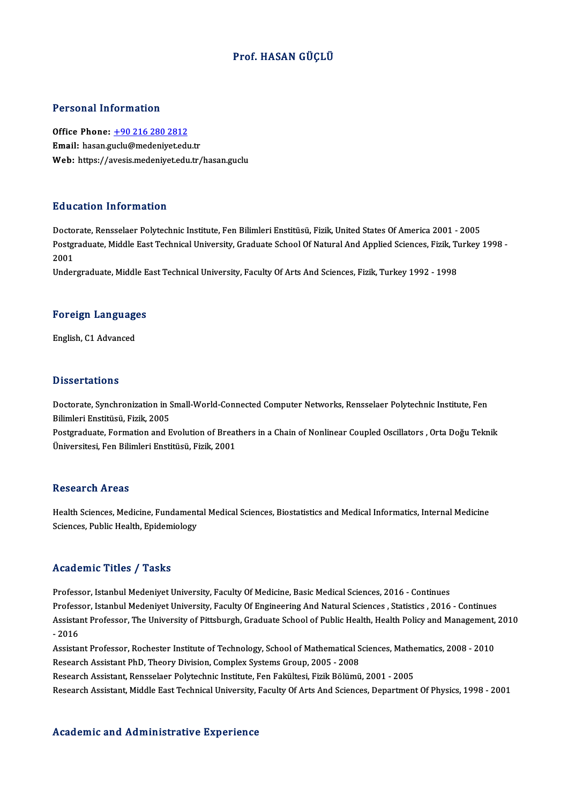### Prof.HASAN GÜÇLÜ

#### Personal Information

Personal Information<br>Office Phone: <u>+90 216 280 2812</u><br>Email: basen guelu@medeniustedu 1 STSSMAT MISS MURISM<br>Office Phone: <u>+90 216 280 2812</u><br>Email: hasan.g[uclu@medeniyet.edu](tel:+90 216 280 2812).tr Email: hasan.guclu@medeniyet.edu.tr<br>Web: https://avesis.medeniyet.edu.tr/hasan.guclu

#### Education Information

Doctorate, Rensselaer Polytechnic Institute, Fen Bilimleri Enstitüsü, Fizik, United States Of America 2001 - 2005 Pu u outron Trivon inutron<br>Doctorate, Rensselaer Polytechnic Institute, Fen Bilimleri Enstitüsü, Fizik, United States Of America 2001 - 2005<br>Postgraduate, Middle East Technical University, Graduate School Of Natural And Ap Docto<br>Postgi<br>2001<br>Under Postgraduate, Middle East Technical University, Graduate School Of Natural And Applied Sciences, Fizik, Tı<br>2001<br>Undergraduate, Middle East Technical University, Faculty Of Arts And Sciences, Fizik, Turkey 1992 - 1998

# <sub>ondergraduate, middle E</sub><br>Foreign Languages F<mark>oreign Languag</mark>e<br>English, C1 Advanced

English, C1 Advanced<br>Dissertations

Dissertations<br>Doctorate, Synchronization in Small-World-Connected Computer Networks, Rensselaer Polytechnic Institute, Fen<br>Rilimlori Enstitücü, Firik, 2005 Bilimleri<br>Bilimleri Enstitüsü, Fizik, 2005<br>Bestaraduate, Fermation and E Doctorate, Synchronization in Small-World-Connected Computer Networks, Rensselaer Polytechnic Institute, Fen<br>Bilimleri Enstitüsü, Fizik, 2005<br>Postgraduate, Formation and Evolution of Breathers in a Chain of Nonlinear Coupl

Bilimleri Enstitüsü, Fizik, 2005<br>Postgraduate, Formation and Evolution of Breat<br>Üniversitesi, Fen Bilimleri Enstitüsü, Fizik, 2001 Üniversitesi, Fen Bilimleri Enstitüsü, Fizik, 2001<br>Research Areas

Health Sciences, Medicine, Fundamental Medical Sciences, Biostatistics and Medical Informatics, Internal Medicine Sciences, Public Health, Epidemiology

#### Academic Titles / Tasks

Professor, Istanbul Medeniyet University, Faculty Of Medicine, Basic Medical Sciences, 2016 - Continues Professor, Istanbul Medeniyet University, Faculty Of Engineering And Natural Sciences, Statistics, 2016 - Continues Professor, Istanbul Medeniyet University, Faculty Of Medicine, Basic Medical Sciences, 2016 - Continues<br>Professor, Istanbul Medeniyet University, Faculty Of Engineering And Natural Sciences , Statistics , 2016 - Continues<br> Profess<br>Assistai<br>- 2016<br>Assistai Assistant Professor, The University of Pittsburgh, Graduate School of Public Health, Health Policy and Management,<br>- 2016<br>Assistant Professor, Rochester Institute of Technology, School of Mathematical Sciences, Mathematics

- 2016<br>Assistant Professor, Rochester Institute of Technology, School of Mathematical Sciences, Mathematics, 2008 - 2010<br>Research Assistant PhD, Theory Division, Complex Systems Group, 2005 - 2008

Research Assistant, Rensselaer Polytechnic Institute, Fen Fakültesi, Fizik Bölümü, 2001 - 2005

Research Assistant, Middle East Technical University, Faculty Of Arts And Sciences, Department Of Physics, 1998 - 2001

#### Academic and Administrative Experience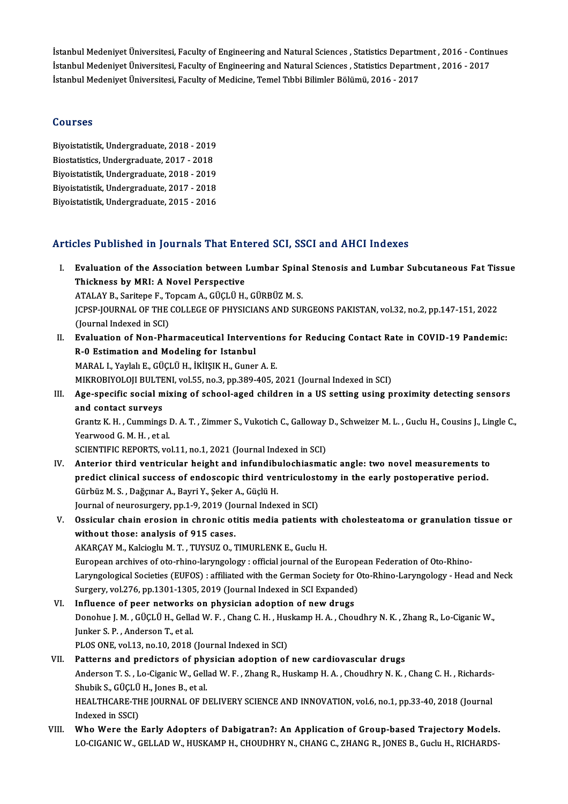İstanbul Medeniyet Üniversitesi, Faculty of Engineering and Natural Sciences , Statistics Department , 2016 - Continues<br>İstanbul Medeniyet Üniversitesi, Faculty of Engineering and Natural Sciences , Statistics Department , İstanbul Medeniyet Üniversitesi, Faculty of Engineering and Natural Sciences , Statistics Department , 2016 - Contin<br>İstanbul Medeniyet Üniversitesi, Faculty of Engineering and Natural Sciences , Statistics Department , 20 İstanbul Medeniyet Üniversitesi, Faculty of Engineering and Natural Sciences , Statistics Departn<br>İstanbul Medeniyet Üniversitesi, Faculty of Engineering and Natural Sciences , Statistics Departn<br>İstanbul Medeniyet Ünivers İstanbul Medeniyet Üniversitesi, Faculty of Medicine, Temel Tıbbi Bilimler Bölümü, 2016 - 2017<br>Courses

Courses<br>Biyoistatistik, Undergraduate, 2018 - 2019<br>Biostatistics, Undergraduate, 2017 - 2019 Biyoistatistik, Undergraduate, 2018 - 2019<br>Biostatistics, Undergraduate, 2017 - 2018<br>Bivoistatistik, Undergraduate, 2019 - 2018 Biyoistatistik, Undergraduate, 2018 - 2019<br>Biostatistics, Undergraduate, 2017 - 2018<br>Biyoistatistik, Undergraduate, 2018 - 2019<br>Bivoistatistik, Undergraduate, 2017 - 2019 Biostatistics, Undergraduate, 2017 - 2018<br>Biyoistatistik, Undergraduate, 2018 - 2019<br>Biyoistatistik, Undergraduate, 2017 - 2018 Biyoistatistik,Undergraduate,2015 -2016

### Articles Published in Journals That Entered SCI, SSCI and AHCI Indexes

- I. Evaluation of the Association between Lumbar Spinal Stenosis and Lumbar Subcutaneous Fat Tissue Thickness by MRI: A Novel Perspective Evaluation of the Association between Lumbar Spina<br>Thickness by MRI: A Novel Perspective<br>ATALAY B., Saritepe F., Topcam A., GÜÇLÜ H., GÜRBÜZ M. S.<br>JCRSP JOURNAL OF THE COLLECE OF PHYSICIANS AND SUL JCPSP-JOURNAL OF THE COLLEGE OF PHYSICIANS AND SURGEONS PAKISTAN, vol.32, no.2, pp.147-151, 2022<br>(Journal Indexed in SCI) ATALAY B., Saritepe F., T.<br>JCPSP-JOURNAL OF THE<br>(Journal Indexed in SCI)<br>Evaluation of Non-Pha I . JCPSP-JOURNAL OF THE COLLEGE OF PHYSICIANS AND SURGEONS PAKISTAN, vol.32, no.2, pp.147-151, 2022<br>(Journal Indexed in SCI)<br>II. Evaluation of Non-Pharmaceutical Interventions for Reducing Contact Rate in COVID-19 Pandemi (Journal Indexed in SCI)<br>Evaluation of Non-Pharmaceutical Interve<br>R-0 Estimation and Modeling for Istanbul<br>MARAL L Yovlak E. CÜCLÜ H. ikitsik H. Cunet Evaluation of Non-Pharmaceutical Intervention<br>R-0 Estimation and Modeling for Istanbul<br>MARAL I., Yaylalı E., GÜÇLÜ H., İKİIŞIK H., Guner A.E.<br>MIKROPIYOLOU PULTENL YOLEE no 2 nn 299 405 2 R-0 Estimation and Modeling for Istanbul<br>MARAL I., Yaylalı E., GÜÇLÜ H., İKİIŞIK H., Guner A. E.<br>MIKROBIYOLOJI BULTENI, vol.55, no.3, pp.389-405, 2021 (Journal Indexed in SCI)<br>Age spesifis sosial mixing of school aged chil MARAL I., Yaylalı E., GÜÇLÜ H., İKİIŞIK H., Guner A. E.<br>MIKROBIYOLOJI BULTENI, vol.55, no.3, pp.389-405, 2021 (Journal Indexed in SCI)<br>III. Age-specific social mixing of school-aged children in a US setting using proxi MIKROBIYOLOJI BULTE<br>Age-specific social m<br>and contact surveys Age-specific social mixing of school-aged children in a US setting using proximity detecting sensors<br>and contact surveys<br>Grantz K. H. , Cummings D. A. T. , Zimmer S., Vukotich C., Galloway D., Schweizer M. L. , Guclu H., C and contact surveys<br>Grantz K. H. , Cummings l<br>Yearwood G. M. H. , et al.<br>SCIENTIEIC BEROPTS, vo Grantz K. H. , Cummings D. A. T. , Zimmer S., Vukotich C., Galloway<br>Yearwood G. M. H. , et al.<br>SCIENTIFIC REPORTS, vol.11, no.1, 2021 (Journal Indexed in SCI)<br>Anterior third vontrieular height and infundibule chiesmet Yearwood G. M. H., et al.<br>SCIENTIFIC REPORTS, vol.11, no.1, 2021 (Journal Indexed in SCI)<br>IV. Anterior third ventricular height and infundibulochiasmatic angle: two novel measurements to<br>nuclist clinical success of andesse SCIENTIFIC REPORTS, vol.11, no.1, 2021 (Journal Indexed in SCI)<br>Anterior third ventricular height and infundibulochiasmatic angle: two novel measurements to<br>predict clinical success of endoscopic third ventriculostomy in t Anterior third ventricular height and infundibundler<br>predict clinical success of endoscopic third ven<br>Gürbüz M. S., Dağçınar A., Bayri Y., Şeker A., Güçlü H.<br>Journal of nourceurseur nn 1.0, 2010 (Journal Index predict clinical success of endoscopic third ventriculost<br>Gürbüz M. S. , Dağçınar A., Bayri Y., Şeker A., Güçlü H.<br>Journal of neurosurgery, pp.1-9, 2019 (Journal Indexed in SCI)<br>Qosisular shain enesion in shnanis etitis me Gürbüz M. S. , Dağçınar A., Bayri Y., Şeker A., Güçlü H.<br>Journal of neurosurgery, pp.1-9, 2019 (Journal Indexed in SCI)<br>V. Ossicular chain erosion in chronic otitis media patients with cholesteatoma or granulation tiss Journal of neurosurgery, pp.1-9, 2019 (Jo<br>Ossicular chain erosion in chronic ot<br>without those: analysis of 915 cases.<br>AKABCAY M. Kokiogly M.T., TUNSUZ O. 7 AKARÇAY M., Kalcioglu M. T., TUYSUZ O., TIMURLENK E., Guclu H. European archives of oto-rhino-laryngology : official journal of the European Federation of Oto-Rhino-Laryngological Societies (EUFOS) : affiliated with the German Society for Oto-Rhino-Laryngology - Head and Neck European archives of oto-rhino-laryngology : official journal of the Europ<br>Laryngological Societies (EUFOS) : affiliated with the German Society for C<br>Surgery, vol.276, pp.1301-1305, 2019 (Journal Indexed in SCI Expanded)<br> Laryngological Societies (EUFOS) : affiliated with the German Society for<br>Surgery, vol.276, pp.1301-1305, 2019 (Journal Indexed in SCI Expanded)<br>VI. Influence of peer networks on physician adoption of new drugs<br>Danabuo J. Surgery, vol.276, pp.1301-1305, 2019 (Journal Indexed in SCI Expanded)<br>Influence of peer networks on physician adoption of new drugs<br>Donohue J. M. , GÜÇLÜ H., Gellad W. F. , Chang C. H. , Huskamp H. A. , Choudhry N. K. , Z VI. Influence of peer networks on physician adoption of new drugs<br>Donohue J. M., GÜÇLÜ H., Gellad W. F., Chang C. H., Huskamp H. A., Chou<br>Junker S. P., Anderson T., et al.<br>PLOS ONE, vol.13, no.10, 2018 (Journal Indexed in Donohue J. M. , GÜÇLÜ H., Gellad W. F. , Chang C. H. , Hus<br>Junker S. P. , Anderson T., et al.<br>PLOS ONE, vol.13, no.10, 2018 (Journal Indexed in SCI)<br>Petterns and predictors of physician adoption of VII. Patterns and predictors of physician adoption of new cardiovascular drugs PLOS ONE, vol.13, no.10, 2018 (Journal Indexed in SCI)<br>Patterns and predictors of physician adoption of new cardiovascular drugs<br>Anderson T. S. , Lo-Ciganic W., Gellad W. F. , Zhang R., Huskamp H. A. , Choudhry N. K. , Cha Patterns and predictors of phy<br>Anderson T. S. , Lo-Ciganic W., Gell<br>Shubik S., GÜÇLÜ H., Jones B., et al.<br>HEALTHCAPE THE JOUPMAL OF D Anderson T. S. , Lo-Ciganic W., Gellad W. F. , Zhang R., Huskamp H. A. , Choudhry N. K. , Chang C. H. , Richards-<br>Shubik S., GÜÇLÜ H., Jones B., et al.<br>HEALTHCARE-THE JOURNAL OF DELIVERY SCIENCE AND INNOVATION, vol.6, no.1 Shubik S., GÜÇLÜ H., Jones B., et al.<br>HEALTHCARE-THE JOURNAL OF DELIVERY SCIENCE AND INNOVATION, vol.6, no.1, pp.33-40, 2018 (Journal<br>Indexed in SSCI) HEALTHCARE-THE JOURNAL OF DELIVERY SCIENCE AND INNOVATION, vol.6, no.1, pp.33-40, 2018 (Journal<br>Indexed in SSCI)<br>VIII. Who Were the Early Adopters of Dabigatran?: An Application of Group-based Trajectory Models.<br>J.O.CICANI
- Indexed in SSCI)<br>Who Were the Early Adopters of Dabigatran?: An Application of Group-based Trajectory Models.<br>LO-CIGANIC W., GELLAD W., HUSKAMP H., CHOUDHRY N., CHANG C., ZHANG R., JONES B., Guclu H., RICHARDS-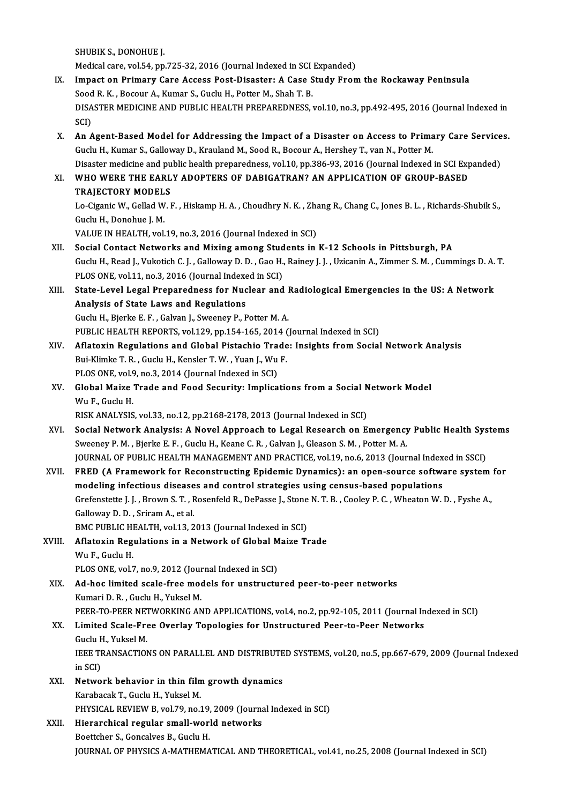SHUBIKS.,DONOHUEJ.

Medical care, vol.54, pp.725-32, 2016 (Journal Indexed in SCI Expanded)

- IX. Impact on Primary Care Access Post-Disaster: A Case Study From the Rockaway Peninsula Medical care, vol.54, pp.725-32, 2016 (Journal Indexed in SCI<br>Impact on Primary Care Access Post-Disaster: A Case S<br>Sood R. K. , Bocour A., Kumar S., Guclu H., Potter M., Shah T. B.<br>DISASTER MEDICINE AND BUBLIC HEALTH PREP DISASTER MEDICINE AND PUBLIC HEALTH PREPAREDNESS, vol.10, no.3, pp.492-495, 2016 (Journal Indexed in SCI) Sood<br>DISA<br>SCI)<br>An A DISASTER MEDICINE AND PUBLIC HEALTH PREPAREDNESS, vol.10, no.3, pp.492-495, 2016 (Journal Indexed in SCI)<br>SCI)<br>X. An Agent-Based Model for Addressing the Impact of a Disaster on Access to Primary Care Services.
- SCI)<br>An Agent-Based Model for Addressing the Impact of a Disaster on Access to Prima<br>Guclu H., Kumar S., Galloway D., Krauland M., Sood R., Bocour A., Hershey T., van N., Potter M.<br>Disaster medisine and publis bealth prepa An Agent-Based Model for Addressing the Impact of a Disaster on Access to Primary Care Service<br>Guclu H., Kumar S., Galloway D., Krauland M., Sood R., Bocour A., Hershey T., van N., Potter M.<br>Disaster medicine and public he Guclu H., Kumar S., Galloway D., Krauland M., Sood R., Bocour A., Hershey T., van N., Potter M.<br>Disaster medicine and public health preparedness, vol.10, pp.386-93, 2016 (Journal Indexed in SCI Ex<br>XI. WHO WERE THE EARL Disaster medicine and public health preparedness, vol.10, pp.386-93, 2016 (Journal Indexed in SCI Expanded)

## TRAJECTORY MODELS

Lo-Ciganic W., Gellad W. F., Hiskamp H. A., Choudhry N. K., Zhang R., Chang C., Jones B. L., Richards-Shubik S.,<br>Guclu H., Donohue J. M.

VALUE IN HEALTH, vol.19, no.3, 2016 (Journal Indexed in SCI)

- XII. Social Contact Networks and Mixing among Students in K-12 Schools in Pittsburgh, PA VALUE IN HEALTH, vol.19, no.3, 2016 (Journal Indexed in SCI)<br>Social Contact Networks and Mixing among Students in K-12 Schools in Pittsburgh, PA<br>Guclu H., Read J., Vukotich C. J. , Galloway D. D. , Gao H., Rainey J. J. , U Social Contact Networks and Mixing among Stud<br>Guclu H., Read J., Vukotich C. J. , Galloway D. D. , Gao H.,<br>PLOS ONE, vol.11, no.3, 2016 (Journal Indexed in SCI)<br>State J evel J egel Preperadness for Nuglear and Guclu H., Read J., Vukotich C. J. , Galloway D. D. , Gao H., Rainey J. J. , Uzicanin A., Zimmer S. M. , Cummings D. A.<br>PLOS ONE, vol.11, no.3, 2016 (Journal Indexed in SCI)<br>XIII. State-Level Legal Preparedness for Nuclear
- PLOS ONE, vol.11, no.3, 2016 (Journal Indexed in SCI)<br>State-Level Legal Preparedness for Nuclear and Radiological Emergencies in the US: A Network<br>Analysis of State Laws and Regulations Guclu H., Bjerke E. F., Galvan J., Sweeney P., Potter M. A. PUBLIC HEALTH REPORTS, vol.129, pp.154-165, 2014 (Journal Indexed in SCI)
- XIV. Aflatoxin Regulations and Global Pistachio Trade: Insights fromSocial Network Analysis PUBLIC HEALTH REPORTS, vol.129, pp.154-165, 2014 (<br>Aflatoxin Regulations and Global Pistachio Trade<br>Bui-Klimke T. R. , Guclu H., Kensler T. W. , Yuan J., Wu F.<br>BLOS ONE vol.9, no.2, 2014 (Journal Indoved in SCL) Aflatoxin Regulations and Global Pistachio Tra<br>Bui-Klimke T. R. , Guclu H., Kensler T. W. , Yuan J., Wu<br>PLOS ONE, vol.9, no.3, 2014 (Journal Indexed in SCI)<br>Clobal Maire Trade and Eeod Security: Implies Bui-Klimke T. R. , Guclu H., Kensler T. W. , Yuan J., Wu F.<br>PLOS ONE, vol.9, no.3, 2014 (Journal Indexed in SCI)<br>XV. Global Maize Trade and Food Security: Implications from a Social Network Model<br>W.y. E. Cuclu H
- PLOS ONE, vol.9, no.3, 2014 (Journal Indexed in SCI)<br>Global Maize Trade and Food Security: Implications from a Social N<br>Wu F., Guclu H.<br>RISK ANALYSIS, vol.33, no.12, pp.2168-2178, 2013 (Journal Indexed in SCI) Global Maize Trade and Food Security: Implications from a Social N<br>Wu F., Guclu H.<br>RISK ANALYSIS, vol.33, no.12, pp.2168-2178, 2013 (Journal Indexed in SCI)<br>Social Network Analysis: A Naval Annreach to Legal Bessensh on F.
- Wu F., Guclu H.<br>RISK ANALYSIS, vol.33, no.12, pp.2168-2178, 2013 (Journal Indexed in SCI)<br>XVI. Social Network Analysis: A Novel Approach to Legal Research on Emergency Public Health Systems<br>Sweepey B.M., Bierke E.E., Guslu Sweeney P. M. , Bjerke E. F. , Guclu H., Keane C. R. , Galvan J., Gleason S. M. , Potter M. A.<br>JOURNAL OF PUBLIC HEALTH MANAGEMENT AND PRACTICE, vol.19, no.6, 2013 (Journal Indexed in SSCI) Social Network Analysis: A Novel Approach to Legal Research on Emergency Public Health Sys<br>Sweeney P. M. , Bjerke E. F. , Guclu H., Keane C. R. , Galvan J., Gleason S. M. , Potter M. A.<br>JOURNAL OF PUBLIC HEALTH MANAGEMENT
- XVII. FRED (A Framework for Reconstructing Epidemic Dynamics): an open-source software system for JOURNAL OF PUBLIC HEALTH MANAGEMENT AND PRACTICE, vol.19, no.6, 2013 (Journal Index<br>FRED (A Framework for Reconstructing Epidemic Dynamics): an open-source software<br>modeling infectious diseases and control strategies using FRED (A Framework for Reconstructing Epidemic Dynamics): an open-source software system<br>modeling infectious diseases and control strategies using census-based populations<br>Grefenstette J. J. , Brown S. T. , Rosenfeld R., De modeling infectious disease<br>Grefenstette J. J. , Brown S. T. , F<br>Galloway D. D. , Sriram A., et al.<br>PMC PUPLIC HEALTH vol 12-2 Grefenstette J. J. , Brown S. T. , Rosenfeld R., DePasse J., Stone<br>Galloway D. D. , Sriram A., et al.<br>BMC PUBLIC HEALTH, vol.13, 2013 (Journal Indexed in SCI)<br>Aflatorin Regulations in a Natural: of Glabel Maine T. BMC PUBLIC HEALTH, vol.13, 2013 (Journal Indexed in SCI)
- Galloway D. D. , Sriram A., et al.<br>BMC PUBLIC HEALTH, vol.13, 2013 (Journal Indexed in SCI)<br>XVIII. Aflatoxin Regulations in a Network of Global Maize Trade<br>Wu F., Guclu H. Aflatoxin Regulations in a Network of Global M<br>Wu F., Guclu H.<br>PLOS ONE, vol.7, no.9, 2012 (Journal Indexed in SCI)<br>Ad bos limited ssale free models for unstructu

XIX. Ad-hoc limited scale-free models for unstructured peer-to-peer networks<br>Kumari D. R., Guclu H., Yuksel M. PLOS ONE, vol.7, no.9, 2012 (Journal)<br>Ad-hoc limited scale-free moo<br>Kumari D. R. , Guclu H., Yuksel M.<br>PEEP TO PEEP NETWORKING AN Ad-hoc limited scale-free models for unstructured peer-to-peer networks<br>Kumari D. R. , Guclu H., Yuksel M.<br>PEER-TO-PEER NETWORKING AND APPLICATIONS, vol.4, no.2, pp.92-105, 2011 (Journal Indexed in SCI)<br>Limited Scale Eneo

## XX. Limited Scale-Free Overlay Topologies for Unstructured Peer-to-Peer Networks PEER-TO-PEER NET<br>Limited Scale-Fre<br>Guclu H., Yuksel M.<br>JEEE TPANSACTION Li<mark>mited Scale-Free Overlay Topologies for Unstructured Peer-to-Peer Networks</mark><br>Guclu H., Yuksel M.<br>IEEE TRANSACTIONS ON PARALLEL AND DISTRIBUTED SYSTEMS, vol.20, no.5, pp.667-679, 2009 (Journal Indexed<br>in SCD Guclu F<br>IEEE TF<br>in SCI)<br>Notwo IEEE TRANSACTIONS ON PARALLEL AND DISTRIBUTE<br>in SCI)<br>XXI. Network behavior in thin film growth dynamics<br>Example T. Cucly H. Vulgel M.

in SCI)<br><mark>Network behavior in thin film</mark><br>Karabacak T., Guclu H., Yuksel M.<br>BHVSICAL BEVIEW B. vol 79, po 1 Network behavior in thin film growth dynamics<br>Karabacak T., Guclu H., Yuksel M.<br>PHYSICAL REVIEW B, vol.79, no.19, 2009 (Journal Indexed in SCI)<br>Hierorshicel regular small world networks Karabacak T., Guclu H., Yuksel M.<br>PHYSICAL REVIEW B, vol.79, no.19, 2009 (Journa<br>XXII. Hierarchical regular small-world networks

## PHYSICAL REVIEW B, vol.79, no.19,<br>Hierarchical regular small-worl<br>Boettcher S., Goncalves B., Guclu H.<br>JOUPNAL OF PHYSICS A MATHEMA Hierarchical regular small-world networks<br>Boettcher S., Goncalves B., Guclu H.<br>JOURNAL OF PHYSICS A-MATHEMATICAL AND THEORETICAL, vol.41, no.25, 2008 (Journal Indexed in SCI)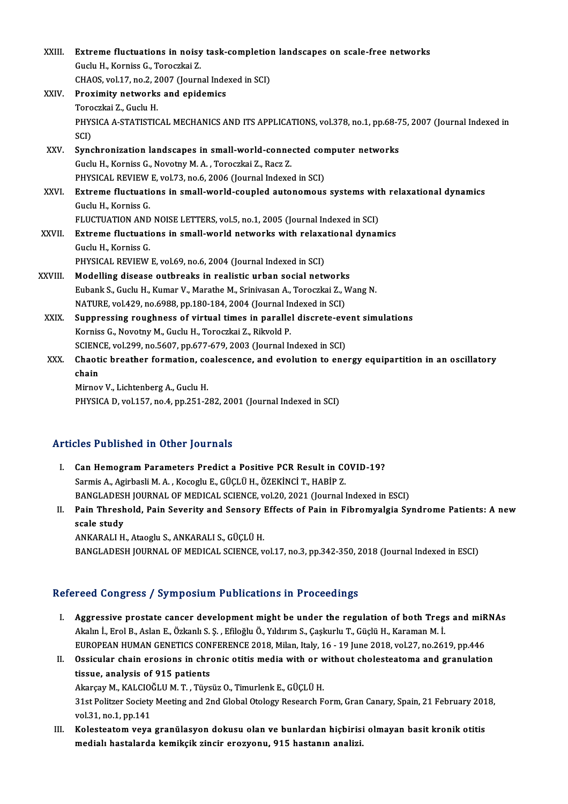| XXIII.  | Extreme fluctuations in noisy task-completion landscapes on scale-free networks                         |
|---------|---------------------------------------------------------------------------------------------------------|
|         | Guclu H., Korniss G., Toroczkai Z.                                                                      |
|         | CHAOS, vol.17, no.2, 2007 (Journal Indexed in SCI)                                                      |
| XXIV.   | Proximity networks and epidemics                                                                        |
|         | Toroczkai Z., Guclu H.                                                                                  |
|         | PHYSICA A-STATISTICAL MECHANICS AND ITS APPLICATIONS, vol.378, no.1, pp.68-75, 2007 (Journal Indexed in |
|         | SCI)                                                                                                    |
| XXV.    | Synchronization landscapes in small-world-connected computer networks                                   |
|         | Guclu H., Korniss G., Novotny M. A., Toroczkai Z., Racz Z.                                              |
|         | PHYSICAL REVIEW E, vol.73, no.6, 2006 (Journal Indexed in SCI)                                          |
| XXVI.   | Extreme fluctuations in small-world-coupled autonomous systems with relaxational dynamics               |
|         | Guclu H., Korniss G.                                                                                    |
|         | FLUCTUATION AND NOISE LETTERS, vol.5, no.1, 2005 (Journal Indexed in SCI)                               |
| XXVII.  | Extreme fluctuations in small-world networks with relaxational dynamics                                 |
|         | Guclu H., Korniss G.                                                                                    |
|         | PHYSICAL REVIEW E, vol.69, no.6, 2004 (Journal Indexed in SCI)                                          |
| XXVIII. | Modelling disease outbreaks in realistic urban social networks                                          |
|         | Eubank S., Guclu H., Kumar V., Marathe M., Srinivasan A., Toroczkai Z., Wang N.                         |
|         | NATURE, vol.429, no.6988, pp.180-184, 2004 (Journal Indexed in SCI)                                     |
| XXIX.   | Suppressing roughness of virtual times in parallel discrete-event simulations                           |
|         | Korniss G., Novotny M., Guclu H., Toroczkai Z., Rikvold P.                                              |
|         | SCIENCE, vol.299, no.5607, pp.677-679, 2003 (Journal Indexed in SCI)                                    |
| XXX.    | Chaotic breather formation, coalescence, and evolution to energy equipartition in an oscillatory        |
|         | chain                                                                                                   |
|         | Mirnov V., Lichtenberg A., Guclu H.                                                                     |
|         | PHYSICA D, vol.157, no.4, pp.251-282, 2001 (Journal Indexed in SCI)                                     |
|         |                                                                                                         |

### Articles Published in Other Journals

- I. Can Hemogram Parameters Predict a Positive PCR Result in COVID-19? Sarmis A., Agirbasli M. A., Kocoglu E., GÜÇLÜ H., ÖZEKİNCİ T., HABİP Z. BANGLADESH JOURNAL OF MEDICAL SCIENCE, vol.20, 2021 (Journal Indexed in ESCI) Sarmis A., Agirbasli M. A. , Kocoglu E., GÜÇLÜ H., ÖZEKİNCİ T., HABİP Z.<br>BANGLADESH JOURNAL OF MEDICAL SCIENCE, vol.20, 2021 (Journal Indexed in ESCI)<br>II. Pain Threshold, Pain Severity and Sensory Effects of Pain in Fi
- **BANGLADES**<br>**Pain Thresh**<br>scale study<br>ANKARALLH scale study<br>ANKARALI H., Ataoglu S., ANKARALI S., GÜÇLÜ H. BANGLADESH JOURNAL OF MEDICAL SCIENCE, vol.17, no.3, pp.342-350, 2018 (Journal Indexed in ESCI)

### Refereed Congress / Symposium Publications in Proceedings

- efereed Congress / Symposium Publications in Proceedings<br>I. Aggressive prostate cancer development might be under the regulation of both Tregs and miRNAs<br>Akalp LEpal B. Aslan E. Özkanlı S. S. Efiloğlu Ö. Vıldırım S. Caslur Akalın İ., Erol B., Aslan E., Özkanlı S. Ş. , Efiloğlu Ö., Yıldırım S., Çaşkurlu T., Güçlü H., Karaman M. İ.<br>EUROPEAN HUMAN GENETICS CONFERENCE 2018, Milan, Italy, 16 - 19 June 2018, vol.27, no.2619, pp.446 Aggressive prostate cancer development might be under the regulation of both Tregs and miR<br>Akalın İ., Erol B., Aslan E., Özkanlı S. Ş. , Efiloğlu Ö., Yıldırım S., Çaşkurlu T., Güçlü H., Karaman M. İ.<br>EUROPEAN HUMAN GENETIC
- II. Ossicular chain erosions in chronic otitis media with or without cholesteatoma and granulation tissue, analysis of 915 patients Ossicular chain erosions in chronic otitis media with or w<br>tissue, analysis of 915 patients<br>Akarçay M., KALCIOĞLU M.T., Tüysüz O., Timurlenk E., GÜÇLÜ H.<br>21st Politzer Sosiety Mesting and 2nd Clobal Otelegy Peseensh E 31st Politzer Society Meeting and 2nd Global Otology Research Form, Gran Canary, Spain, 21 February 2018, vol.31, no.1, pp.141 Akarçay M., KALCIO<br>31st Politzer Society<br>vol.31, no.1, pp.141<br>Kolostostom vove 31st Politzer Society Meeting and 2nd Global Otology Research Form, Gran Canary, Spain, 21 February 201<br>vol.31, no.1, pp.141<br>III. Kolesteatom veya granülasyon dokusu olan ve bunlardan hiçbirisi olmayan basit kronik otitis<br>
- vol.31, no.1, pp.141<br>Kolesteatom veya granülasyon dokusu olan ve bunlardan hiçbiris:<br>medialı hastalarda kemikçik zincir erozyonu, 915 hastanın analizi.